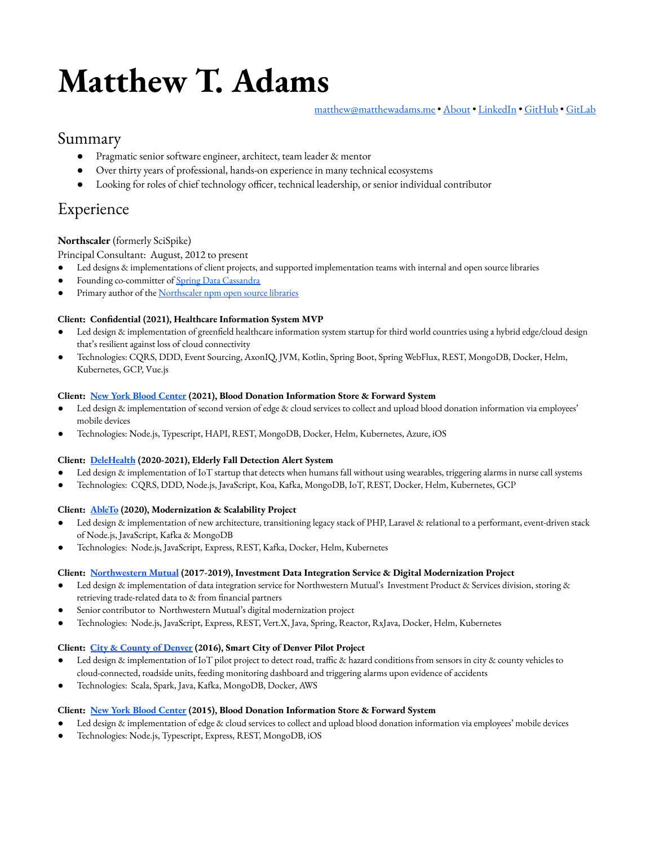# **Matthew T. Adams**

[matthew@matthewadams.me](mailto:matthew@matthewadams.me) • [About](https://www.matthewadams.me/) • [LinkedIn](https://www.linkedin.com/in/matthewadams) • [GitHub](https://github.com/matthewadams) • [GitLab](https://gitlab.com/matthewadams12)

# Summary

- Pragmatic senior software engineer, architect, team leader & mentor
- Over thirty years of professional, hands-on experience in many technical ecosystems
- Looking for roles of chief technology officer, technical leadership, or senior individual contributor

# Experience

#### **Northscaler** (formerly SciSpike)

#### Principal Consultant: August, 2012 to present

- Led designs & implementations of client projects, and supported implementation teams with internal and open source libraries
- Founding co-committer of **Spring Data [Cassandra](https://spring.io/projects/spring-data-cassandra)**
- Primary author of the [Northscaler](https://www.npmjs.com/search?q=%40northscaler) npm open source libraries

#### **Client: Condential (2021), Healthcare Information System MVP**

- Led design & implementation of greenfield healthcare information system startup for third world countries using a hybrid edge/cloud design that's resilient against loss of cloud connectivity
- Technologies: CQRS, DDD, Event Sourcing, AxonIQ, JVM, Kotlin, Spring Boot, Spring WebFlux, REST, MongoDB, Docker, Helm, Kubernetes, GCP, Vue.js

#### **Client: New York Blood [Center](https://www.nybc.org/) (2021), Blood Donation Information Store & Forward System**

- Led design & implementation of second version of edge & cloud services to collect and upload blood donation information via employees' mobile devices
- Technologies: Node.js, Typescript, HAPI, REST, MongoDB, Docker, Helm, Kubernetes, Azure, iOS

#### **Client: [DeleHealth](https://www.delehealth.com/) (2020-2021), Elderly Fall Detection Alert System**

- Led design & implementation of IoT startup that detects when humans fall without using wearables, triggering alarms in nurse call systems
- Technologies: CQRS, DDD, Node.js, JavaScript, Koa, Kafka, MongoDB, IoT, REST, Docker, Helm, Kubernetes, GCP

#### **Client: [AbleTo](https://www.ableto.com/) (2020), Modernization & Scalability Project**

- Led design & implementation of new architecture, transitioning legacy stack of PHP, Laravel & relational to a performant, event-driven stack of Node.js, JavaScript, Kafka & MongoDB
- Technologies: Node.js, JavaScript, Express, REST, Kafka, Docker, Helm, Kubernetes

#### **Client: [Northwestern](https://www.northwesternmutual.com/) Mutual (2017-2019), Investment Data Integration Service & Digital Modernization Project**

- Led design & implementation of data integration service for Northwestern Mutual's Investment Product & Services division, storing & retrieving trade-related data to & from financial partners
- Senior contributor to Northwestern Mutual's digital modernization project
- Technologies: Node.js, JavaScript, Express, REST, Vert.X, Java, Spring, Reactor, RxJava, Docker, Helm, Kubernetes

#### **Client: City & [County](https://www.denvergov.org/) of Denver (2016), Smart City of Denver Pilot Project**

- Led design & implementation of IoT pilot project to detect road, traffic & hazard conditions from sensors in city & county vehicles to cloud-connected, roadside units, feeding monitoring dashboard and triggering alarms upon evidence of accidents
- Technologies: Scala, Spark, Java, Kafka, MongoDB, Docker, AWS

#### **Client: New York Blood [Center](https://www.nybc.org/) (2015), Blood Donation Information Store & Forward System**

- Led design & implementation of edge & cloud services to collect and upload blood donation information via employees' mobile devices
- Technologies: Node.js, Typescript, Express, REST, MongoDB, iOS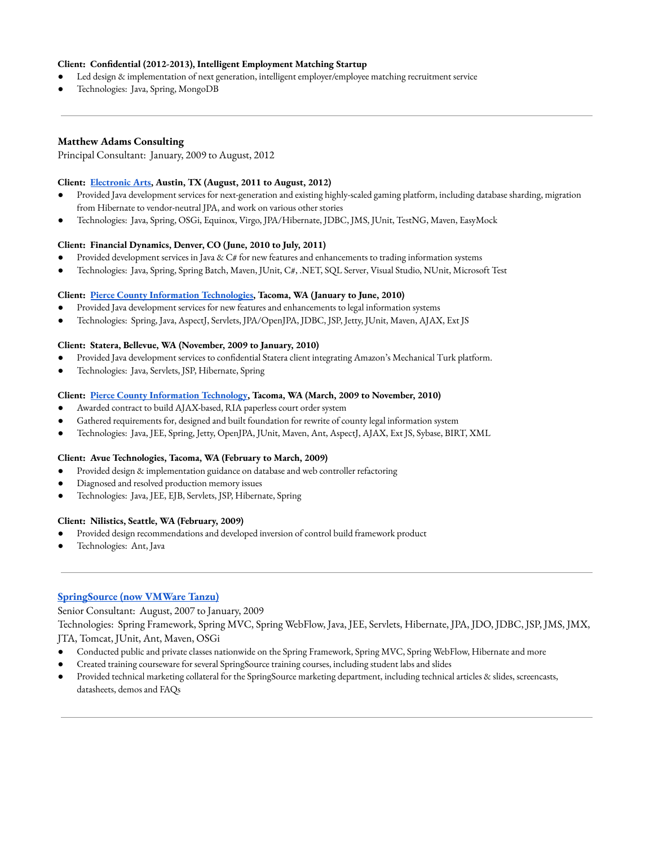#### **Client: Condential (2012-2013), Intelligent Employment Matching Startup**

- Led design & implementation of next generation, intelligent employer/employee matching recruitment service
- Technologies: Java, Spring, MongoDB

#### **Matthew Adams Consulting**

Principal Consultant: January, 2009 to August, 2012

#### **Client: [Electronic](https://www.ea.com/) Arts, Austin, TX (August, 2011 to August, 2012)**

- Provided Java development services for next-generation and existing highly-scaled gaming platform, including database sharding, migration from Hibernate to vendor-neutral JPA, and work on various other stories
- Technologies: Java, Spring, OSGi, Equinox, Virgo, JPA/Hibernate, JDBC, JMS, JUnit, TestNG, Maven, EasyMock

#### **Client: Financial Dynamics, Denver, CO (June, 2010 to July, 2011)**

- Provided development services in Java & C# for new features and enhancements to trading information systems
- Technologies: Java, Spring, Spring Batch, Maven, JUnit, C#, .NET, SQL Server, Visual Studio, NUnit, Microsoft Test

#### **Client: Pierce County Information [Technologies](https://www.piercecountywa.gov/111/Information-Technology), Tacoma, WA (January to June, 2010)**

- Provided Java development services for new features and enhancements to legal information systems
- Technologies: Spring, Java, AspectJ, Servlets, JPA/OpenJPA, JDBC, JSP, Jetty, JUnit, Maven, AJAX, Ext JS

#### **Client: Statera, Bellevue, WA (November, 2009 to January, 2010)**

- Provided Java development services to confidential Statera client integrating Amazon's Mechanical Turk platform.
- Technologies: Java, Servlets, JSP, Hibernate, Spring

#### **Client: Pierce County [Information](https://www.piercecountywa.gov/111/Information-Technology) Technology, Tacoma, WA (March, 2009 to November, 2010)**

- Awarded contract to build AJAX-based, RIA paperless court order system
- Gathered requirements for, designed and built foundation for rewrite of county legal information system
- Technologies: Java, JEE, Spring, Jetty, OpenJPA, JUnit, Maven, Ant, AspectJ, AJAX, Ext JS, Sybase, BIRT, XML

#### **Client: Avue Technologies, Tacoma, WA (February to March, 2009)**

- Provided design & implementation guidance on database and web controller refactoring
- Diagnosed and resolved production memory issues
- Technologies: Java, JEE, EJB, Servlets, JSP, Hibernate, Spring

#### **Client: Nilistics, Seattle, WA (February, 2009)**

- Provided design recommendations and developed inversion of control build framework product
- Technologies: Ant, Java

#### **[SpringSource](https://tanzu.vmware.com/tanzu) (now VMWare Tanzu)**

Senior Consultant: August, 2007 to January, 2009

Technologies: Spring Framework, Spring MVC, Spring WebFlow, Java, JEE, Servlets, Hibernate, JPA, JDO, JDBC, JSP, JMS, JMX, JTA, Tomcat, JUnit, Ant, Maven, OSGi

- Conducted public and private classes nationwide on the Spring Framework, Spring MVC, Spring WebFlow, Hibernate and more
- Created training courseware for several SpringSource training courses, including student labs and slides
- Provided technical marketing collateral for the SpringSource marketing department, including technical articles & slides, screencasts, datasheets, demos and FAQs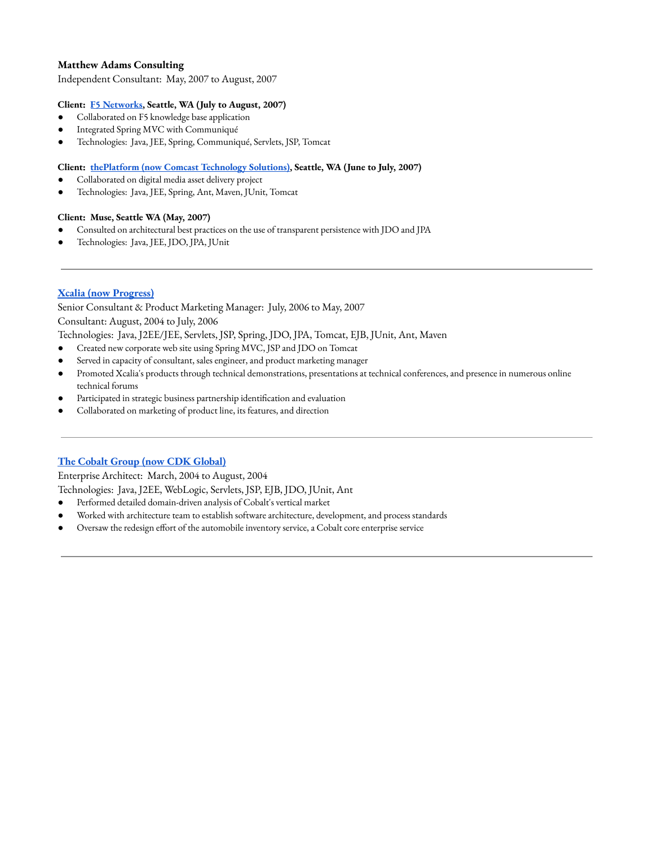#### **Matthew Adams Consulting**

Independent Consultant: May, 2007 to August, 2007

#### **Client: F5 [Networks,](https://www.f5.com/) Seattle, WA (July to August, 2007)**

- Collaborated on F5 knowledge base application
- Integrated Spring MVC with Communiqué
- Technologies: Java, JEE, Spring, Communiqué, Servlets, JSP, Tomcat

#### **Client: thePlatform (now [Comcast Technology](https://www.comcasttechnologysolutions.com/) Solutions), Seattle, WA (June to July, 2007)**

- Collaborated on digital media asset delivery project
- Technologies: Java, JEE, Spring, Ant, Maven, JUnit, Tomcat

#### **Client: Muse, Seattle WA (May, 2007)**

- Consulted on architectural best practices on the use of transparent persistence with JDO and JPA
- Technologies: Java, JEE, JDO, JPA, JUnit

#### **Xcalia (now [Progress\)](https://www.progress.com/)**

Senior Consultant & Product Marketing Manager: July, 2006 to May, 2007 Consultant: August, 2004 to July, 2006

Technologies: Java, J2EE/JEE, Servlets, JSP, Spring, JDO, JPA, Tomcat, EJB, JUnit, Ant, Maven

- Created new corporate web site using Spring MVC, JSP and JDO on Tomcat
- Served in capacity of consultant, sales engineer, and product marketing manager
- Promoted Xcalia's products through technical demonstrations, presentations at technical conferences, and presence in numerous online technical forums
- Participated in strategic business partnership identification and evaluation
- Collaborated on marketing of product line, its features, and direction

#### **The Cobalt Group (now CDK [Global\)](https://www.cdkglobal.com/automotive)**

Enterprise Architect: March, 2004 to August, 2004

Technologies: Java, J2EE, WebLogic, Servlets, JSP, EJB, JDO, JUnit, Ant

- Performed detailed domain-driven analysis of Cobalt's vertical market
- Worked with architecture team to establish software architecture, development, and process standards
- Oversaw the redesign effort of the automobile inventory service, a Cobalt core enterprise service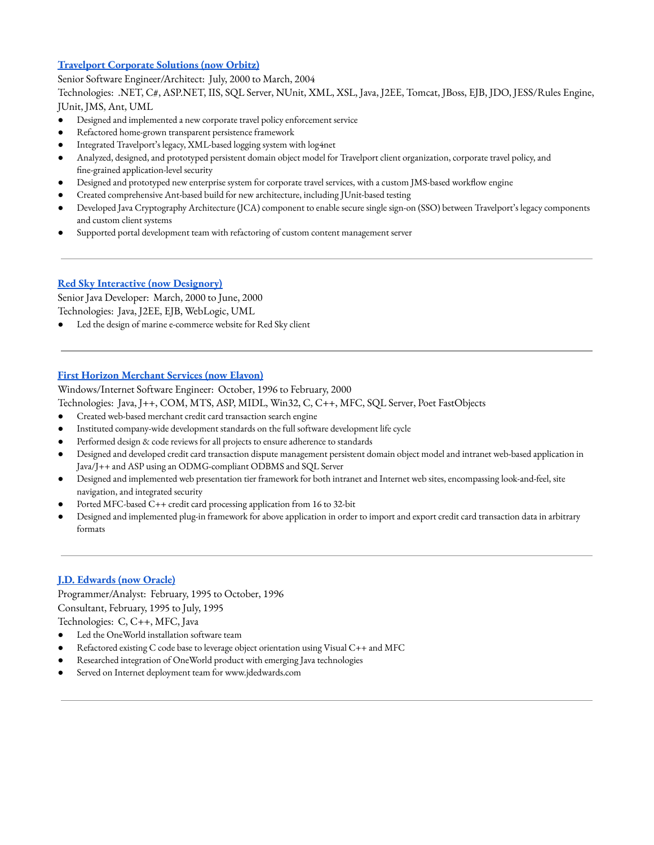#### **[Travelport](https://www.orbitz.com/) Corporate Solutions (now Orbitz)**

Senior Software Engineer/Architect: July, 2000 to March, 2004 Technologies: .NET, C#, ASP.NET, IIS, SQL Server, NUnit, XML, XSL, Java, J2EE, Tomcat, JBoss, EJB, JDO, JESS/Rules Engine, JUnit, JMS, Ant, UML

- Designed and implemented a new corporate travel policy enforcement service
- Refactored home-grown transparent persistence framework
- Integrated Travelport's legacy, XML-based logging system with log4net
- Analyzed, designed, and prototyped persistent domain object model for Travelport client organization, corporate travel policy, and fine-grained application-level security
- Designed and prototyped new enterprise system for corporate travel services, with a custom JMS-based workflow engine
- Created comprehensive Ant-based build for new architecture, including JUnit-based testing
- Developed Java Cryptography Architecture (JCA) component to enable secure single sign-on (SSO) between Travelport's legacy components and custom client systems
- Supported portal development team with refactoring of custom content management server

#### **Red Sky Interactive (now [Designory\)](https://www.designory.com/)**

Senior Java Developer: March, 2000 to June, 2000 Technologies: Java, J2EE, EJB, WebLogic, UML

Led the design of marine e-commerce website for Red Sky client

#### **First Horizon [Merchant](https://www.elavon.com/) Services (now Elavon)**

Windows/Internet Software Engineer: October, 1996 to February, 2000

Technologies: Java, J++, COM, MTS, ASP, MIDL, Win32, C, C++, MFC, SQL Server, Poet FastObjects

- Created web-based merchant credit card transaction search engine
- Instituted company-wide development standards on the full software development life cycle
- Performed design & code reviews for all projects to ensure adherence to standards
- Designed and developed credit card transaction dispute management persistent domain object model and intranet web-based application in Java/J++ and ASP using an ODMG-compliant ODBMS and SQL Server
- Designed and implemented web presentation tier framework for both intranet and Internet web sites, encompassing look-and-feel, site navigation, and integrated security
- Ported MFC-based C++ credit card processing application from 16 to 32-bit
- Designed and implemented plug-in framework for above application in order to import and export credit card transaction data in arbitrary formats

#### **J.D. [Edwards](https://www.oracle.com/applications/jd-edwards-enterpriseone/) (now Oracle)**

Programmer/Analyst: February, 1995 to October, 1996 Consultant, February, 1995 to July, 1995 Technologies: C, C++, MFC, Java

- Led the OneWorld installation software team
- Refactored existing C code base to leverage object orientation using Visual C++ and MFC
- Researched integration of OneWorld product with emerging Java technologies
- Served on Internet deployment team for www.jdedwards.com